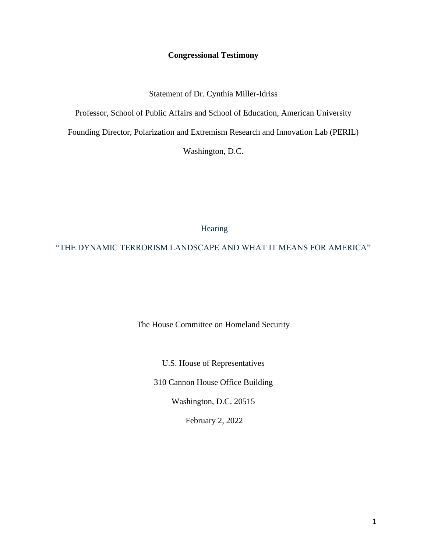# **Congressional Testimony**

Statement of Dr. Cynthia Miller-Idriss

Professor, School of Public Affairs and School of Education, American University

Founding Director, Polarization and Extremism Research and Innovation Lab (PERIL)

Washington, D.C.

Hearing

"THE DYNAMIC TERRORISM LANDSCAPE AND WHAT IT MEANS FOR AMERICA"

The House Committee on Homeland Security

U.S. House of Representatives

310 Cannon House Office Building

Washington, D.C. 20515

February 2, 2022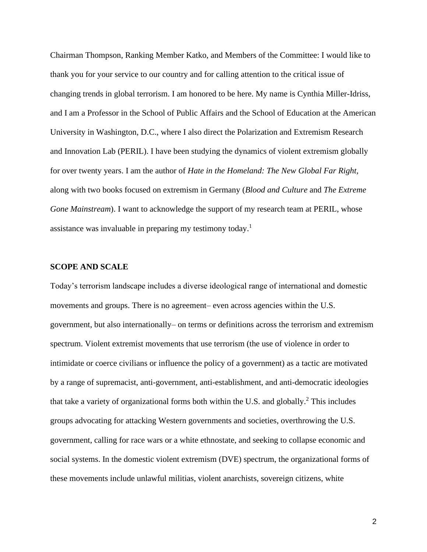Chairman Thompson, Ranking Member Katko, and Members of the Committee: I would like to thank you for your service to our country and for calling attention to the critical issue of changing trends in global terrorism. I am honored to be here. My name is Cynthia Miller-Idriss, and I am a Professor in the School of Public Affairs and the School of Education at the American University in Washington, D.C., where I also direct the Polarization and Extremism Research and Innovation Lab (PERIL). I have been studying the dynamics of violent extremism globally for over twenty years. I am the author of *Hate in the Homeland: The New Global Far Right,*  along with two books focused on extremism in Germany (*Blood and Culture* and *The Extreme Gone Mainstream*). I want to acknowledge the support of my research team at PERIL, whose assistance was invaluable in preparing my testimony today.<sup>1</sup>

## **SCOPE AND SCALE**

Today's terrorism landscape includes a diverse ideological range of international and domestic movements and groups. There is no agreement– even across agencies within the U.S. government, but also internationally– on terms or definitions across the terrorism and extremism spectrum. Violent extremist movements that use terrorism (the use of violence in order to intimidate or coerce civilians or influence the policy of a government) as a tactic are motivated by a range of supremacist, anti-government, anti-establishment, and anti-democratic ideologies that take a variety of organizational forms both within the U.S. and globally.<sup>2</sup> This includes groups advocating for attacking Western governments and societies, overthrowing the U.S. government, calling for race wars or a white ethnostate, and seeking to collapse economic and social systems. In the domestic violent extremism (DVE) spectrum, the organizational forms of these movements include unlawful militias, violent anarchists, sovereign citizens, white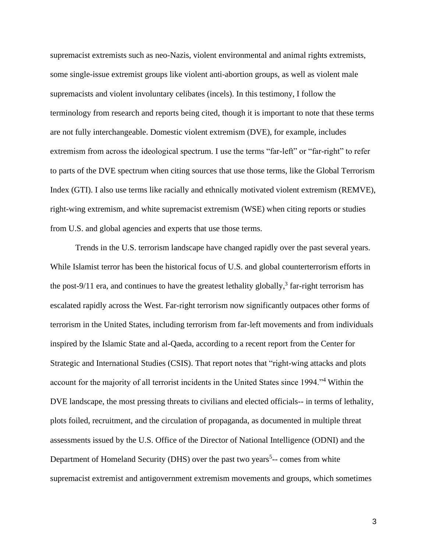supremacist extremists such as neo-Nazis, violent environmental and animal rights extremists, some single-issue extremist groups like violent anti-abortion groups, as well as violent male supremacists and violent involuntary celibates (incels). In this testimony, I follow the terminology from research and reports being cited, though it is important to note that these terms are not fully interchangeable. Domestic violent extremism (DVE), for example, includes extremism from across the ideological spectrum. I use the terms "far-left" or "far-right" to refer to parts of the DVE spectrum when citing sources that use those terms, like the Global Terrorism Index (GTI). I also use terms like racially and ethnically motivated violent extremism (REMVE), right-wing extremism, and white supremacist extremism (WSE) when citing reports or studies from U.S. and global agencies and experts that use those terms.

Trends in the U.S. terrorism landscape have changed rapidly over the past several years. While Islamist terror has been the historical focus of U.S. and global counterterrorism efforts in the post-9/11 era, and continues to have the greatest lethality globally,<sup>3</sup> far-right terrorism has escalated rapidly across the West. Far-right terrorism now significantly outpaces other forms of terrorism in the United States, including terrorism from far-left movements and from individuals inspired by the Islamic State and al-Qaeda, according to a recent report from the Center for Strategic and International Studies (CSIS). That report notes that "right-wing attacks and plots account for the majority of all terrorist incidents in the United States since 1994."<sup>4</sup> Within the DVE landscape, the most pressing threats to civilians and elected officials-- in terms of lethality, plots foiled, recruitment, and the circulation of propaganda, as documented in multiple threat assessments issued by the U.S. Office of the Director of National Intelligence (ODNI) and the Department of Homeland Security (DHS) over the past two years<sup>5</sup>-- comes from white supremacist extremist and antigovernment extremism movements and groups, which sometimes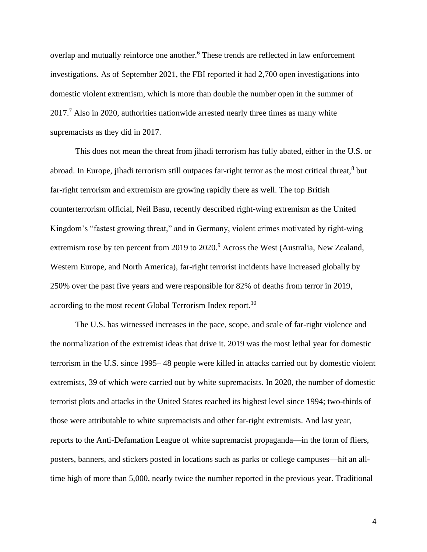overlap and mutually reinforce one another.<sup>6</sup> These trends are reflected in law enforcement investigations. As of September 2021, the FBI reported it had 2,700 open investigations into domestic violent extremism, which is more than double the number open in the summer of  $2017<sup>7</sup>$  Also in 2020, authorities nationwide arrested nearly three times as many white supremacists as they did in 2017.

This does not mean the threat from jihadi terrorism has fully abated, either in the U.S. or abroad. In Europe, jihadi terrorism still outpaces far-right terror as the most critical threat,<sup>8</sup> but far-right terrorism and extremism are growing rapidly there as well. The top British counterterrorism official, Neil Basu, recently described right-wing extremism as the United Kingdom's "fastest growing threat," and in Germany, violent crimes motivated by right-wing extremism rose by ten percent from 2019 to 2020.<sup>9</sup> Across the West (Australia, New Zealand, Western Europe, and North America), far-right terrorist incidents have increased globally by 250% over the past five years and were responsible for 82% of deaths from terror in 2019, according to the most recent Global Terrorism Index report.<sup>10</sup>

The U.S. has witnessed increases in the pace, scope, and scale of far-right violence and the normalization of the extremist ideas that drive it. 2019 was the most lethal year for domestic terrorism in the U.S. since 1995– 48 people were killed in attacks carried out by domestic violent extremists, 39 of which were carried out by white supremacists. In 2020, the number of domestic terrorist plots and attacks in the United States reached its highest level since 1994; two-thirds of those were attributable to white supremacists and other far-right extremists. And last year, reports to the Anti-Defamation League of white supremacist propaganda—in the form of fliers, posters, banners, and stickers posted in locations such as parks or college campuses—hit an alltime high of more than 5,000, nearly twice the number reported in the previous year. Traditional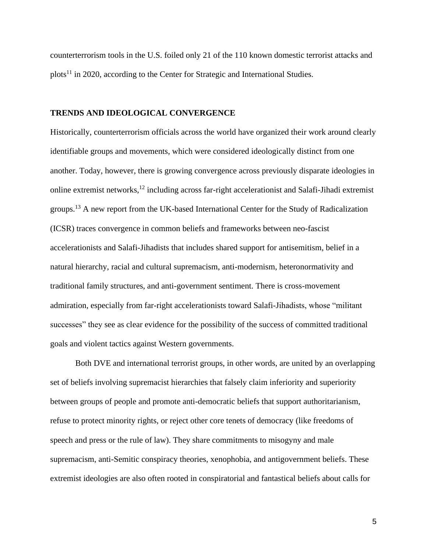counterterrorism tools in the U.S. foiled only 21 of the 110 known domestic terrorist attacks and plots<sup>11</sup> in 2020, according to the Center for Strategic and International Studies.

## **TRENDS AND IDEOLOGICAL CONVERGENCE**

Historically, counterterrorism officials across the world have organized their work around clearly identifiable groups and movements, which were considered ideologically distinct from one another. Today, however, there is growing convergence across previously disparate ideologies in online extremist networks,<sup>12</sup> including across far-right accelerationist and Salafi-Jihadi extremist groups.<sup>13</sup> A new report from the UK-based International Center for the Study of Radicalization (ICSR) traces convergence in common beliefs and frameworks between neo-fascist accelerationists and Salafi-Jihadists that includes shared support for antisemitism, belief in a natural hierarchy, racial and cultural supremacism, anti-modernism, heteronormativity and traditional family structures, and anti-government sentiment. There is cross-movement admiration, especially from far-right accelerationists toward Salafi-Jihadists, whose "militant successes" they see as clear evidence for the possibility of the success of committed traditional goals and violent tactics against Western governments.

Both DVE and international terrorist groups, in other words, are united by an overlapping set of beliefs involving supremacist hierarchies that falsely claim inferiority and superiority between groups of people and promote anti-democratic beliefs that support authoritarianism, refuse to protect minority rights, or reject other core tenets of democracy (like freedoms of speech and press or the rule of law). They share commitments to misogyny and male supremacism, anti-Semitic conspiracy theories, xenophobia, and antigovernment beliefs. These extremist ideologies are also often rooted in conspiratorial and fantastical beliefs about calls for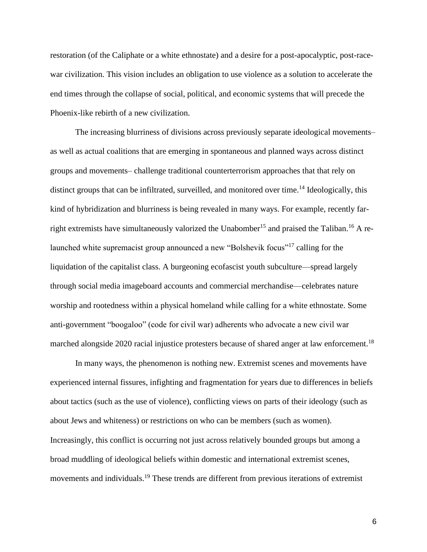restoration (of the Caliphate or a white ethnostate) and a desire for a post-apocalyptic, post-racewar civilization. This vision includes an obligation to use violence as a solution to accelerate the end times through the collapse of social, political, and economic systems that will precede the Phoenix-like rebirth of a new civilization.

The increasing blurriness of divisions across previously separate ideological movements– as well as actual coalitions that are emerging in spontaneous and planned ways across distinct groups and movements– challenge traditional counterterrorism approaches that that rely on distinct groups that can be infiltrated, surveilled, and monitored over time.<sup>14</sup> Ideologically, this kind of hybridization and blurriness is being revealed in many ways. For example, recently farright extremists ha[v](https://www.lawfareblog.com/why-right-wing-extremists-love-unabomber)[e](https://www.cnn.com/2021/09/01/politics/far-right-groups-praise-taliban-takeover/index.html) simultaneously valorized the Unabomber<sup>15</sup> and praised the Taliban.<sup>16</sup> A relaunched white supremacist group announced a new "Bolshevik focus"<sup>17</sup> calling for the liquidation of the capitalist class. A burgeoning ecofascist youth subculture—spread largely through social media imageboard accounts and commercial merchandise—celebrates nature worship and rootedness within a physical homeland while calling for a white ethnostate. Some anti-government "boogaloo" (code for civil war) adherents who advocate a new civil war m[a](https://www.bellingcat.com/news/2020/05/27/the-boogaloo-movement-is-not-what-you-think/)rched alongside 2020 racial injustice protesters because of shared anger at law enforcement.<sup>18</sup>

In many ways, the phenomenon is nothing new. Extremist scenes and movements have experienced internal fissures, infighting and fragmentation for years due to differences in beliefs about tactics (such as the use of violence), conflicting views on parts of their ideology (such as about Jews and whiteness) or restrictions on who can be members (such as women). Increasingly, this conflict is occurring not just across relatively bounded groups but among [a](https://globalejournal.org/global-e/august-2017/lone-wolf-hypertext-radicalization-online) broad muddling of ideological beliefs within domestic and international extremist scenes, movements and individuals.<sup>19</sup> These trends are different from previous iterations of extremist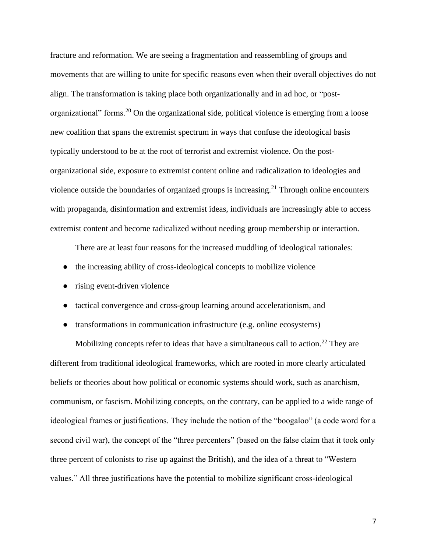fracture and reformation. We are seeing a fragmentation and reassembling of groups and movements that are willing to unite for specific reasons even when their overall objectives do not align. The transformation is taking place both organizationally and in ad hoc, or ["p](https://www.isdglobal.org/isd-in-the-news/telegram-and-the-post-organisational-extremism-paradigm/)ostorganizational" forms.<sup>20</sup> On the organizational side, political violence is emerging from a loose new coalition that spans the extremist spectrum in ways that confuse the ideological basis typically understood to be at the root of terrorist and extremist violence. On th[e](https://www.orfonline.org/expert-speak/confronting-the-challenge-of-post-organisational-extremism/) postorganizational side, exposure to extremist content online and radicalization to ideologies and violence outside the boundaries of organized groups is increasing.<sup>21</sup> Through online encounters with propaganda, disinformation and extremist ideas, individuals are increasingly able to access extremist content and become radicalized without needing group membership or interaction.

There are at least four reasons for the increased muddling of ideological rationales:

- the increasing ability of cross-ideological concepts to mobilize violence
- rising event-driven violence
- tactical convergence and cross-group learning around accelerationism, and
- transformations in communication infrastructure (e.g. online ecosystems)

Mobilizing concepts refer to ideas that have a simultaneous call to action.<sup>22</sup> They are different from traditional ideological frameworks, which are rooted in more clearly articulated beliefs or theories about how political or economic systems should work, such as anarchism, communism, or fascism. Mobilizing concepts, on the contrary, can be applied to a wide range of ideological frames or justifications. They include the notion of the "boogaloo" (a code word for a second civil war), the concept of the "three percenters" (based on the false claim that it took only three percent of colonists to rise up against the British), and the idea of a threat to "Western values." All three justifications have the potential to mobilize significant cross-ideological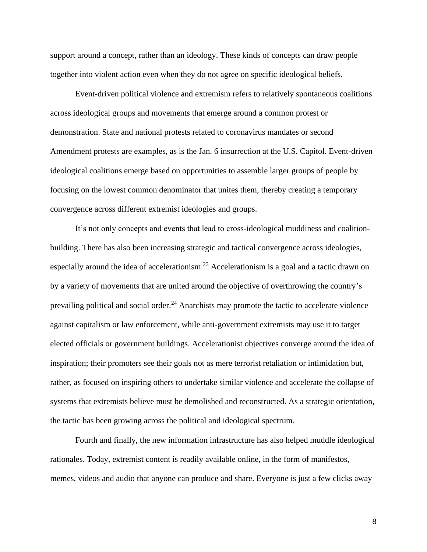support around a concept, rather than an ideology. These kinds of concepts can draw people together into violent action even when they do not agree on specific ideological beliefs.

Event-driven political violence and extremism refers to relatively spontaneous coalitions across ideological groups and movements that emerge around a common protest or demonstration. State and national protests related to coronavirus mandates or second Amendment protests are examples, as is the Jan. 6 insurrection at the U.S. Capitol. Event-driven ideological coalitions emerge based on opportunities to assemble larger groups of people by focusing on the lowest common denominator that unites them, thereby creating a temporary convergence across different extremist ideologies and groups.

It's not only concepts and events that lead to cross-ideological muddiness and coalitionbuilding. There has also been increasing strategic and tactical convergence across ideologies, especi[a](https://ctc.usma.edu/uniting-for-total-collapse-the-january-6-boost-to-accelerationism/)lly around the idea of a[c](https://www.academia.edu/51143410/_Pine_Tree_Twitter_and_the_Shifting_Ideological_Foundations_of_Eco_Extremism)celerationism.<sup>23</sup> Accelerationism is a goal and a tactic drawn on by a variety of movements that are united around the objective of overthrowing the country's prevailing political and social order.<sup>24</sup> Anarchists may promote the tactic to accelerate violence against capitalism or law enforcement, while anti-government extremists may use it to target elected officials or government buildings. Accelerationist objectives converge around the idea of inspiration; their promoters see their goals not as mere terrorist retaliation or intimidation but, rather, as focused on inspiring others to undertake similar violence and accelerate the collapse of systems that extremists believe must be demolished and reconstructed. As a strategic orientation, the tactic has been growing across the political and ideological spectrum.

Fourth and finally, the new information infrastructure has also helped muddle ideological rationales. Today, extremist content is readily available online, in the form of manifestos, memes, videos and audio that anyone can produce and share. Everyone is just a few clicks away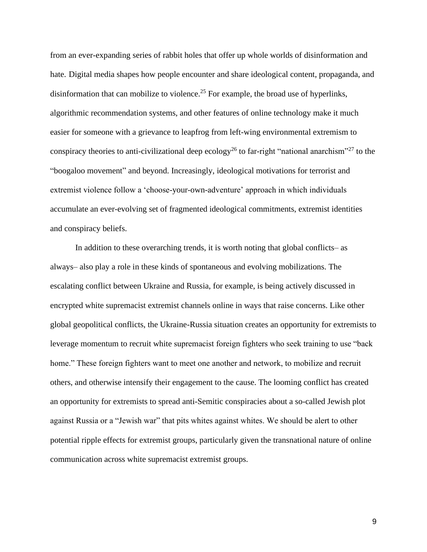from an ever-expanding series of rabbit holes that offer up whole worlds of disinformation and hate. Digital media [s](https://www.sv.uio.no/c-rex/english/news-and-events/right-now/2020/the-storm-and-the-web.html)hapes how people encounter and share ideological content, propaganda, and disinformation that can mobilize to violence.<sup>25</sup> For example, the broad use of hyperlinks, algorithmic recommendation systems, and other features of online technology make it much easier for someone with a grievance to leapfrog from left-wing environmental extremism to conspiracy theories to anti-civilizational [d](https://social-ecology.org/wp/1995/08/theses-on-social-ecology-and-deep-ecology/)eep ecology<sup>26</sup> to far-right "national anarchism"<sup>27</sup> to the "boogaloo movement" and beyond. Increasingly, ideological motivations for terrorist and extremist violence follow a 'choose-your-own-adventure' approach in which individuals accumulate an ever-evolving set of fragmented ideological commitments, extremist identities and conspiracy beliefs.

In addition to these overarching trends, it is worth noting that global conflicts– as always– also play a role in these kinds of spontaneous and evolving mobilizations. The escalating conflict between Ukraine and Russia, for example, is being actively discussed in encrypted white supremacist extremist channels online in ways that raise concerns. Like other global geopolitical conflicts, the Ukraine-Russia situation creates an opportunity for extremists to leverage momentum to recruit white supremacist foreign fighters who seek training to use "back home." These foreign fighters want to meet one another and network, to mobilize and recruit others, and otherwise intensify their engagement to the cause. The looming conflict has created an opportunity for extremists to spread anti-Semitic conspiracies about a so-called Jewish plot against Russia or a "Jewish war" that pits whites against whites. We should be alert to other potential ripple effects for extremist groups, particularly given the transnational nature of online communication across white supremacist extremist groups.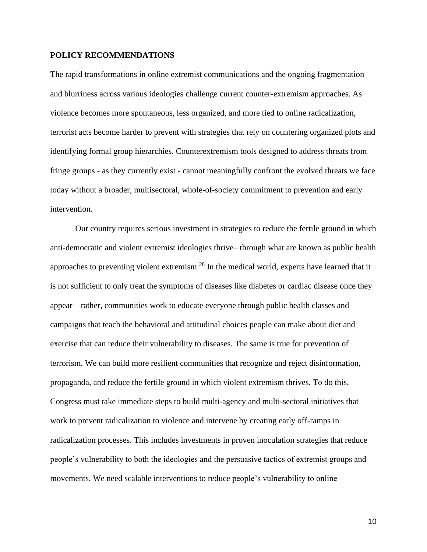#### **POLICY RECOMMENDATIONS**

The rapid transformations in online extremist communications and the ongoing fragmentation and blurriness across various ideologies challenge current counter-extremism approaches. As violence becomes more spontaneous, less organized, and more tied to online radicalization, terrorist acts become harder to prevent with strategies that rely on countering organized plots and identifying formal group hierarchies. Counterextremism tools designed to address threats from fringe groups - as they currently exist - cannot meaningfully confront the evolved threats we face today without a broader, multisectoral, whole-of-society commitment to prevention and early intervention.

Our country requires serious investment in strategies to reduce the fertile ground in which anti-democratic and violent extremist ideologies thrive– through what are known as public health approaches to preventing violent extremism.<sup>28</sup> In the medical world, experts have learned that it is not sufficient to only treat the symptoms of diseases like diabetes or cardiac disease once they appear—rather, communities work to educate everyone through public health classes and campaigns that teach the behavioral and attitudinal choices people can make about diet and exercise that can reduce their vulnerability to diseases. The same is true for prevention of terrorism. We can build more resilient communities that recognize and reject disinformation, propaganda, and reduce the fertile ground in which violent extremism thrives. To do this, Congress must take immediate steps to build multi-agency and multi-sectoral initiatives that work to prevent radicalization to violence and intervene by creating early off-ramps in radicalization processes. This includes investments in proven inoculation strategies that reduce people's vulnerability to both the ideologies and the persuasive tactics of extremist groups and movements. We need scalable interventions to reduce people's vulnerability to online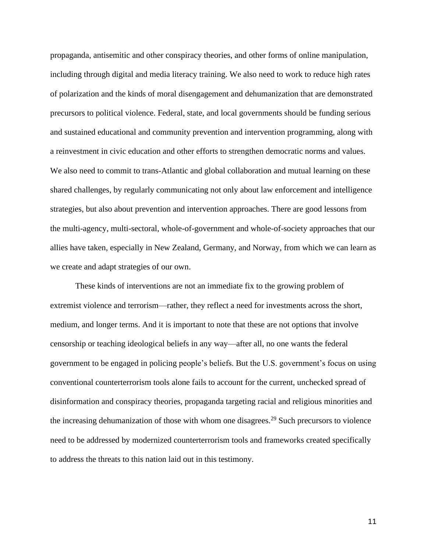propaganda, antisemitic and other conspiracy theories, and other forms of online manipulation, including through digital and media literacy training. We also need to work to reduce high rates of polarization and the kinds of moral disengagement and dehumanization that are demonstrated precursors to political violence. Federal, state, and local governments should be funding serious and sustained educational and community prevention and intervention programming, along with a reinvestment in civic education and other efforts to strengthen democratic norms and values. We also need to commit to trans-Atlantic and global collaboration and mutual learning on these shared challenges, by regularly communicating not only about law enforcement and intelligence strategies, but also about prevention and intervention approaches. There are good lessons from the multi-agency, multi-sectoral, whole-of-government and whole-of-society approaches that our allies have taken, especially in New Zealand, Germany, and Norway, from which we can learn as we create and adapt strategies of our own.

These kinds of interventions are not an immediate fix to the growing problem of extremist violence and terrorism—rather, they reflect a need for investments across the short, medium, and longer terms. And it is important to note that these are not options that involve censorship or teaching ideological beliefs in any way—after all, no one wants the federal government to be engaged in policing people's beliefs. But the U.S. government's focus on using conventional counterterrorism tools alone fails to account for the current, unchecked spread of disinformation and conspiracy theories, propaganda targeting racial and religious minorities and the increasing dehumanization of those with whom one disagrees.<sup>29</sup> Such precursors to violence need to be addressed by modernized counterterrorism tools and frameworks created specifically to address the threats to this nation laid out in this testimony.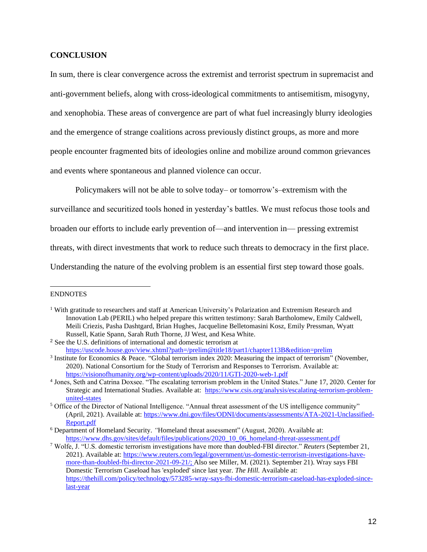# **CONCLUSION**

In sum, there is clear convergence across the extremist and terrorist spectrum in supremacist and anti-government beliefs, along with cross-ideological commitments to antisemitism, misogyny, and xenophobia. These areas of convergence are part of what fuel increasingly blurry ideologies and the emergence of strange coalitions across previously distinct groups, as more and more people encounter fragmented bits of ideologies online and mobilize around common grievances and events where spontaneous and planned violence can occur.

Policymakers will not be able to solve today– or tomorrow's–extremism with the

surveillance and securitized tools honed in yesterday's battles. We must refocus those tools and

broaden our efforts to include early prevention of—and intervention in— pressing extremist

threats, with direct investments that work to reduce such threats to democracy in the first place.

Understanding the nature of the evolving problem is an essential first step toward those goals.

#### ENDNOTES

<sup>1</sup> With gratitude to researchers and staff at American University's Polarization and Extremism Research and Innovation Lab (PERIL) who helped prepare this written testimony: Sarah Bartholomew, Emily Caldwell, Meili Criezis, Pasha Dashtgard, Brian Hughes, Jacqueline Belletomasini Kosz, Emily Pressman, Wyatt Russell, Katie Spann, Sarah Ruth Thorne, JJ West, and Kesa White.

<sup>2</sup> See the U.S. definitions of international and domestic terrorism at <https://uscode.house.gov/view.xhtml?path=/prelim@title18/part1/chapter113B&edition=prelim>

<sup>3</sup> Institute for Economics & Peace. "Global terrorism index 2020: Measuring the impact of terrorism" (November, 2020). National Consortium for the Study of Terrorism and Responses to Terrorism. Available at: <https://visionofhumanity.org/wp-content/uploads/2020/11/GTI-2020-web-1.pdf>

<sup>4</sup> Jones, Seth and Catrina Doxsee. "The escalating terrorism problem in the United States." June 17, 2020. Center for Strategic and International Studies. Available at: [https://www.csis.org/analysis/escalating-terrorism-problem](https://www.csis.org/analysis/escalating-terrorism-problem-united-states)[united-states](https://www.csis.org/analysis/escalating-terrorism-problem-united-states)

<sup>5</sup> Office of the Director of National Intelligence. "Annual threat assessment of the US intelligence community" (April, 2021). Available at: [https://www.dni.gov/files/ODNI/documents/assessments/ATA-2021-Unclassified-](https://www.dni.gov/files/ODNI/documents/assessments/ATA-2021-Unclassified-Report.pdf)[Report.pdf](https://www.dni.gov/files/ODNI/documents/assessments/ATA-2021-Unclassified-Report.pdf)

<sup>6</sup> Department of Homeland Security. *"*Homeland threat assessment" (August, 2020). Available at: [https://www.dhs.gov/sites/default/files/publications/2020\\_10\\_06\\_homeland-threat-assessment.pdf](https://www.dhs.gov/sites/default/files/publications/2020_10_06_homeland-threat-assessment.pdf)

<sup>7</sup> Wolfe, J. "U.S. domestic terrorism investigations have more than doubled-FBI director." *Reuters* (September 21, 2021). Available at[: https://www.reuters.com/legal/government/us-domestic-terrorism-investigations-have](https://www.reuters.com/legal/government/us-domestic-terrorism-investigations-have-more-than-doubled-fbi-director-2021-09-21/)[more-than-doubled-fbi-director-2021-09-21/;](https://www.reuters.com/legal/government/us-domestic-terrorism-investigations-have-more-than-doubled-fbi-director-2021-09-21/) Also see Miller, M. (2021). September 21). Wray says FBI Domestic Terrorism Caseload has 'exploded' since last year. *The Hill.* Available at: [https://thehill.com/policy/technology/573285-wray-says-fbi-domestic-terrorism-caseload-has-exploded-since](https://thehill.com/policy/technology/573285-wray-says-fbi-domestic-terrorism-caseload-has-exploded-since-last-year)[last-year](https://thehill.com/policy/technology/573285-wray-says-fbi-domestic-terrorism-caseload-has-exploded-since-last-year)